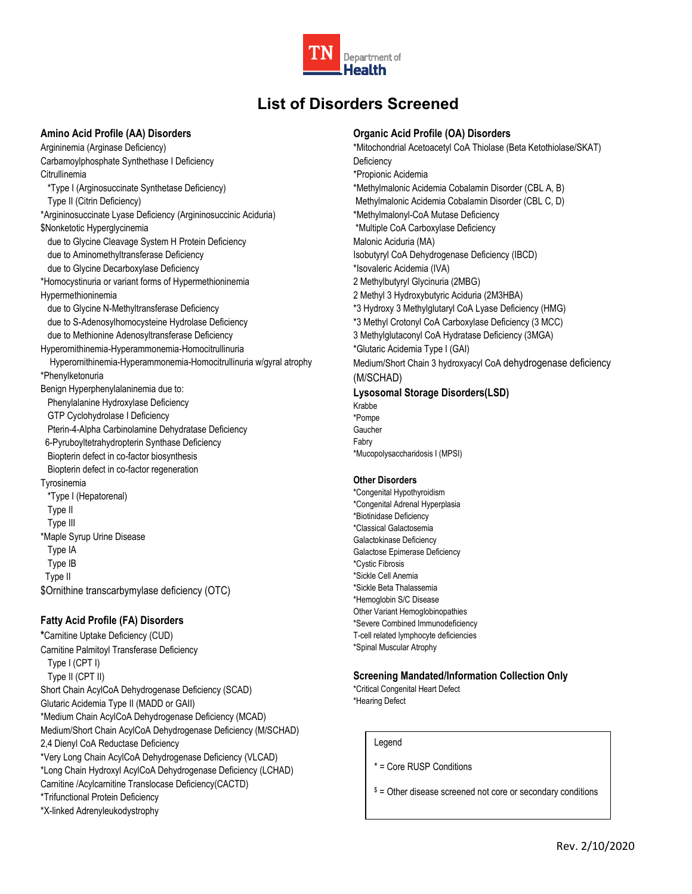

# **List of Disorders Screened**

### **Amino Acid Profile (AA) Disorders**

Argininemia (Arginase Deficiency) Carbamoylphosphate Synthethase I Deficiency Citrullinemia \*Type I (Arginosuccinate Synthetase Deficiency) Type II (Citrin Deficiency) \*Argininosuccinate Lyase Deficiency (Argininosuccinic Aciduria) \$Nonketotic Hyperglycinemia due to Glycine Cleavage System H Protein Deficiency due to Aminomethyltransferase Deficiency due to Glycine Decarboxylase Deficiency \*Homocystinuria or variant forms of Hypermethioninemia Hypermethioninemia due to Glycine N-Methyltransferase Deficiency due to S-Adenosylhomocysteine Hydrolase Deficiency due to Methionine Adenosyltransferase Deficiency Hyperornithinemia-Hyperammonemia-Homocitrullinuria Hyperornithinemia-Hyperammonemia-Homocitrullinuria w/gyral atrophy \*Phenylketonuria Benign Hyperphenylalaninemia due to: Phenylalanine Hydroxylase Deficiency GTP Cyclohydrolase I Deficiency Pterin-4-Alpha Carbinolamine Dehydratase Deficiency 6-Pyruboyltetrahydropterin Synthase Deficiency Biopterin defect in co-factor biosynthesis Biopterin defect in co-factor regeneration Tyrosinemia \*Type I (Hepatorenal) Type II Type III \*Maple Syrup Urine Disease Type IA Type IB Type II \$Ornithine transcarbymylase deficiency (OTC)

### **Fatty Acid Profile (FA) Disorders**

**\***Carnitine Uptake Deficiency (CUD) Carnitine Palmitoyl Transferase Deficiency Type I (CPT I) Type II (CPT II) Short Chain AcylCoA Dehydrogenase Deficiency (SCAD) Glutaric Acidemia Type II (MADD or GAII) \*Medium Chain AcylCoA Dehydrogenase Deficiency (MCAD) Medium/Short Chain AcylCoA Dehydrogenase Deficiency (M/SCHAD) 2,4 Dienyl CoA Reductase Deficiency \*Very Long Chain AcylCoA Dehydrogenase Deficiency (VLCAD) \*Long Chain Hydroxyl AcylCoA Dehydrogenase Deficiency (LCHAD) Carnitine /Acylcarnitine Translocase Deficiency(CACTD) \*Trifunctional Protein Deficiency \*X-linked Adrenyleukodystrophy

### **Organic Acid Profile (OA) Disorders**

\*Mitochondrial Acetoacetyl CoA Thiolase (Beta Ketothiolase/SKAT) **Deficiency** \*Propionic Acidemia \*Methylmalonic Acidemia Cobalamin Disorder (CBL A, B) Methylmalonic Acidemia Cobalamin Disorder (CBL C, D) \*Methylmalonyl-CoA Mutase Deficiency \*Multiple CoA Carboxylase Deficiency Malonic Aciduria (MA) Isobutyryl CoA Dehydrogenase Deficiency (IBCD) \*Isovaleric Acidemia (IVA) 2 Methylbutyryl Glycinuria (2MBG) 2 Methyl 3 Hydroxybutyric Aciduria (2M3HBA) \*3 Hydroxy 3 Methylglutaryl CoA Lyase Deficiency (HMG) \*3 Methyl Crotonyl CoA Carboxylase Deficiency (3 MCC) 3 Methylglutaconyl CoA Hydratase Deficiency (3MGA) \*Glutaric Acidemia Type I (GAI) Medium/Short Chain 3 hydroxyacyl CoA dehydrogenase deficiency (M/SCHAD) **Lysosomal Storage Disorders(LSD)** Krabbe

\*Pompe Gaucher Fabry \*Mucopolysaccharidosis I (MPSI)

#### **Other Disorders**

\*Congenital Hypothyroidism \*Congenital Adrenal Hyperplasia \*Biotinidase Deficiency \*Classical Galactosemia Galactokinase Deficiency Galactose Epimerase Deficiency \*Cystic Fibrosis \*Sickle Cell Anemia \*Sickle Beta Thalassemia \*Hemoglobin S/C Disease Other Variant Hemoglobinopathies \*Severe Combined Immunodeficiency T-cell related lymphocyte deficiencies \*Spinal Muscular Atrophy

### **Screening Mandated/Information Collection Only**

\*Critical Congenital Heart Defect \*Hearing Defect

Legend

\* = Core RUSP Conditions

 $s =$  Other disease screened not core or secondary conditions